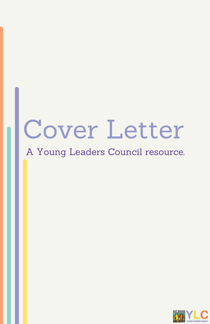# Cover Letter

A Young Leaders Council resource.

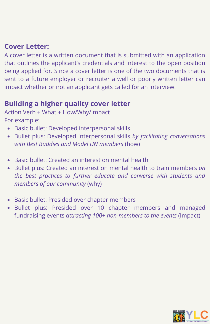## **Cover Letter:**

A cover letter is a written document that is submitted with an application that outlines the applicant's credentials and interest to the open position being applied for. Since a cover letter is one of the two documents that is sent to a future employer or recruiter a well or poorly written letter can impact whether or not an applicant gets called for an interview.

# **Building a higher quality cover letter**

#### Action Verb + What + How/Why/Impact

For example:

- Basic bullet: Developed interpersonal skills
- Bullet plus: Developed interpersonal skills *by facilitating conversations with Best Buddies and Model UN members* (how)
- Basic bullet: Created an interest on mental health
- Bullet plus: Created an interest on mental health to train members *on the best practices to further educate and converse with students and members of our community* (why)
- Basic bullet: Presided over chapter members
- Bullet plus: Presided over 10 chapter members and managed fundraising events *attracting 100+ non-members to the events* (Impact)

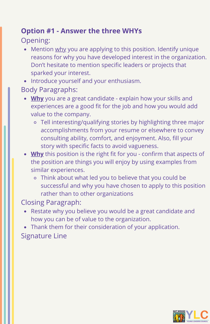# **Option #1 - Answer the three WHYs**

## Opening:

- Mention why you are applying to this position. Identify unique  $\bullet$ reasons for why you have developed interest in the organization. Don't hesitate to mention specific leaders or projects that sparked your interest.
- Introduce yourself and your enthusiasm.
- Body Paragraphs:
	- **Why** you are a great candidate explain how your skills and experiences are a good fit for the job and how you would add value to the company.
		- Tell interesting/qualifying stories by highlighting three major accomplishments from your resume or elsewhere to convey consulting ability, comfort, and enjoyment. Also, fill your story with specific facts to avoid vagueness.
	- **Why** this position is the right fit for you confirm that aspects of the position are things you will enjoy by using examples from similar experiences.
		- Think about what led you to believe that you could be successful and why you have chosen to apply to this position rather than to other organizations

Closing Paragraph:

- Restate why you believe you would be a great candidate and how you can be of value to the organization.
- Thank them for their consideration of your application. Signature Line

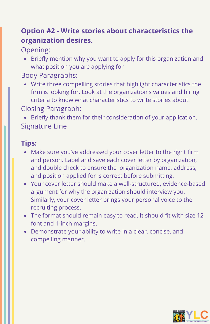# **Option #2 - Write stories about characteristics the organization desires.**

Opening:

Briefly mention why you want to apply for this organization and what position you are applying for

Body Paragraphs:

Write three compelling stories that highlight characteristics the firm is looking for. Look at the organization's values and hiring criteria to know what characteristics to write stories about.

Closing Paragraph:

Briefly thank them for their consideration of your application. Signature Line

## **Tips:**

- Make sure you've addressed your cover letter to the right firm and person. Label and save each cover letter by organization, and double check to ensure the organization name, address, and position applied for is correct before submitting.
- Your cover letter should make a well-structured, evidence-based argument for why the organization should interview you. Similarly, your cover letter brings your personal voice to the recruiting process.
- The format should remain easy to read. It should fit with size 12 font and 1-inch margins.
- Demonstrate your ability to write in a clear, concise, and compelling manner.